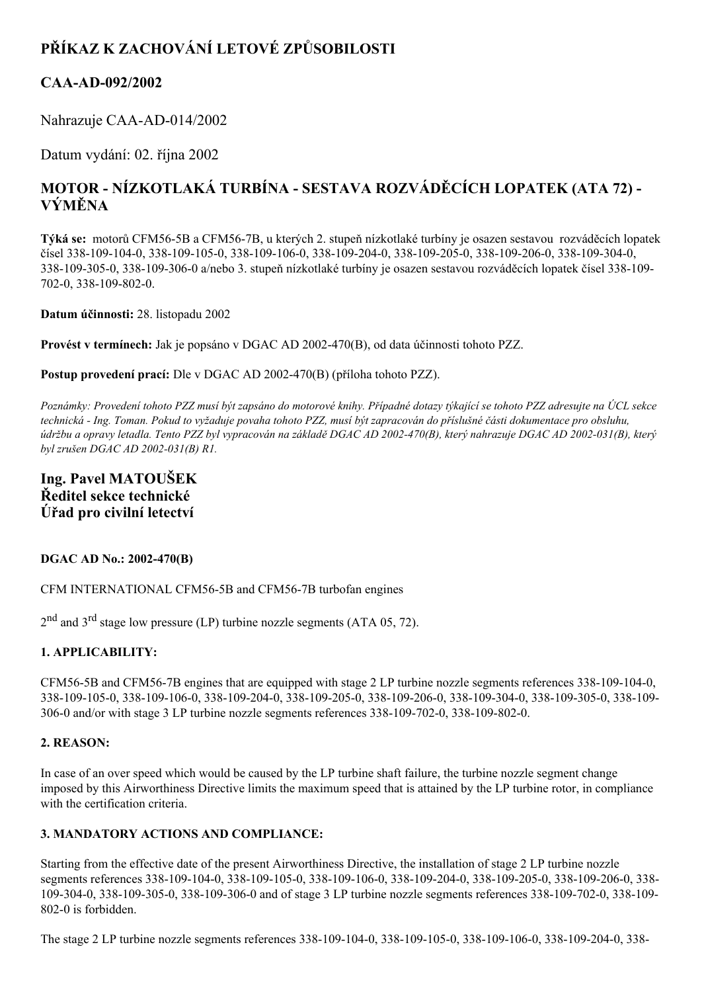# **PŘÍKAZ K ZACHOVÁNÍ LETOVÉ ZPŮSOBILOSTI**

## **CAAAD092/2002**

Nahrazuje CAA-AD-014/2002

Datum vydání: 02. října 2002

# **MOTOR NÍZKOTLAKÁ TURBÍNA SESTAVA ROZVÁDĚCÍCH LOPATEK (ATA 72) VÝMĚNA**

**Týká se:** motorů CFM565B a CFM567B, u kterých 2. stupeň nízkotlaké turbíny je osazen sestavou rozváděcích lopatek čísel 338-109-104-0, 338-109-105-0, 338-109-106-0, 338-109-204-0, 338-109-205-0, 338-109-206-0, 338-109-304-0, 3381093050, 3381093060 a/nebo 3. stupeň nízkotlaké turbíny je osazen sestavou rozváděcích lopatek čísel 338109 702-0, 338-109-802-0.

**Datum účinnosti:** 28. listopadu 2002

**Provést v termínech:** Jak je popsáno v DGAC AD 2002470(B), od data účinnosti tohoto PZZ.

**Postup provedení prací:** Dle v DGAC AD 2002470(B) (příloha tohoto PZZ).

Poznámky: Provedení tohoto PZZ musí být zapsáno do motorové knihy. Případné dotazy týkající se tohoto PZZ adresujte na ÚCL sekce technická - Ing. Toman. Pokud to vyžaduje povaha tohoto PZZ, musí být zapracován do příslušné části dokumentace pro obsluhu, údržbu a opravy letadla. Tento PZZ byl vypracován na základě DGAC AD 2002-470(B), který nahrazuje DGAC AD 2002-031(B), který *byl zrušen DGAC AD* 2002-031(B) R1.

### **Ing. Pavel MATOUŠEK Ředitel sekce technické Úřad pro civilní letectví**

#### **DGAC AD No.: 2002470(B)**

CFM INTERNATIONAL CFM56-5B and CFM56-7B turbofan engines

 $2<sup>nd</sup>$  and  $3<sup>rd</sup>$  stage low pressure (LP) turbine nozzle segments (ATA 05, 72).

#### **1. APPLICABILITY:**

CFM56-5B and CFM56-7B engines that are equipped with stage 2 LP turbine nozzle segments references 338-109-104-0, 338-109-105-0, 338-109-106-0, 338-109-204-0, 338-109-205-0, 338-109-206-0, 338-109-304-0, 338-109-305-0, 338-109- $306-0$  and/or with stage 3 LP turbine nozzle segments references  $338-109-702-0$ ,  $338-109-802-0$ .

#### **2. REASON:**

In case of an over speed which would be caused by the LP turbine shaft failure, the turbine nozzle segment change imposed by this Airworthiness Directive limits the maximum speed that is attained by the LP turbine rotor, in compliance with the certification criteria.

#### **3. MANDATORY ACTIONS AND COMPLIANCE:**

Starting from the effective date of the present Airworthiness Directive, the installation of stage 2 LP turbine nozzle segments references 338-109-104-0, 338-109-105-0, 338-109-106-0, 338-109-204-0, 338-109-205-0, 338-109-206-0, 338-109-304-0, 338-109-305-0, 338-109-306-0 and of stage 3 LP turbine nozzle segments references 338-109-702-0, 338-109-802-0 is forbidden.

The stage 2 LP turbine nozzle segments references 338-109-104-0, 338-109-105-0, 338-109-106-0, 338-109-204-0, 338-